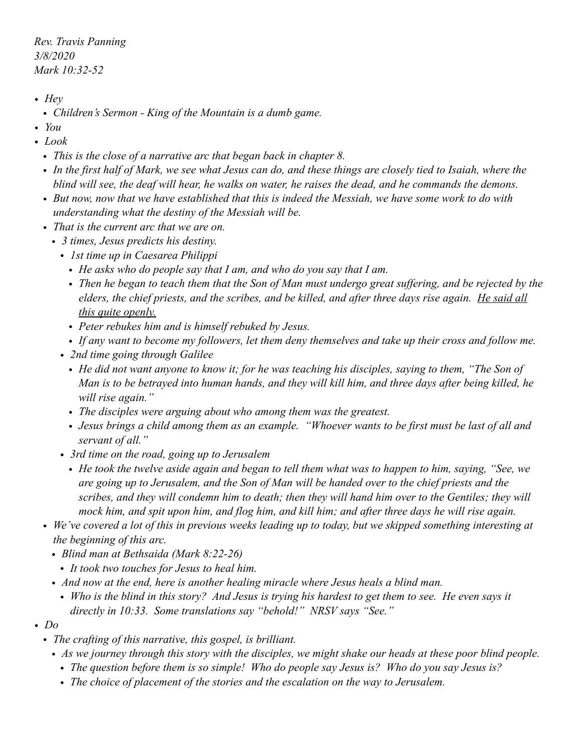*Rev. Travis Panning 3/8/2020 Mark 10:32-52* 

- *• Hey* 
	- *• Children's Sermon King of the Mountain is a dumb game.*
- *• You*
- *• Look* 
	- *• This is the close of a narrative arc that began back in chapter 8.*
	- *• In the first half of Mark, we see what Jesus can do, and these things are closely tied to Isaiah, where the blind will see, the deaf will hear, he walks on water, he raises the dead, and he commands the demons.*
	- *• But now, now that we have established that this is indeed the Messiah, we have some work to do with understanding what the destiny of the Messiah will be.*
	- *• That is the current arc that we are on.* 
		- *• 3 times, Jesus predicts his destiny.* 
			- *• 1st time up in Caesarea Philippi* 
				- *• He asks who do people say that I am, and who do you say that I am.*
				- *• Then he began to teach them that the Son of Man must undergo great suffering, and be rejected by the elders, the chief priests, and the scribes, and be killed, and after three days rise again. He said all this quite openly.*
				- *• Peter rebukes him and is himself rebuked by Jesus.*
				- *• If any want to become my followers, let them deny themselves and take up their cross and follow me.*
			- *• 2nd time going through Galilee* 
				- *• He did not want anyone to know it; for he was teaching his disciples, saying to them, "The Son of Man is to be betrayed into human hands, and they will kill him, and three days after being killed, he will rise again."*
				- *• The disciples were arguing about who among them was the greatest.*
				- *• Jesus brings a child among them as an example. "Whoever wants to be first must be last of all and servant of all."*
			- *• 3rd time on the road, going up to Jerusalem* 
				- *• He took the twelve aside again and began to tell them what was to happen to him, saying, "See, we are going up to Jerusalem, and the Son of Man will be handed over to the chief priests and the scribes, and they will condemn him to death; then they will hand him over to the Gentiles; they will mock him, and spit upon him, and flog him, and kill him; and after three days he will rise again.*
	- We've covered a lot of this in previous weeks leading up to today, but we skipped something interesting at *the beginning of this arc.* 
		- *• Blind man at Bethsaida (Mark 8:22-26)* 
			- *• It took two touches for Jesus to heal him.*
		- *• And now at the end, here is another healing miracle where Jesus heals a blind man.* 
			- *• Who is the blind in this story? And Jesus is trying his hardest to get them to see. He even says it directly in 10:33. Some translations say "behold!" NRSV says "See."*
- *• Do* 
	- *• The crafting of this narrative, this gospel, is brilliant.* 
		- *• As we journey through this story with the disciples, we might shake our heads at these poor blind people.* 
			- *• The question before them is so simple! Who do people say Jesus is? Who do you say Jesus is?*
			- *• The choice of placement of the stories and the escalation on the way to Jerusalem.*